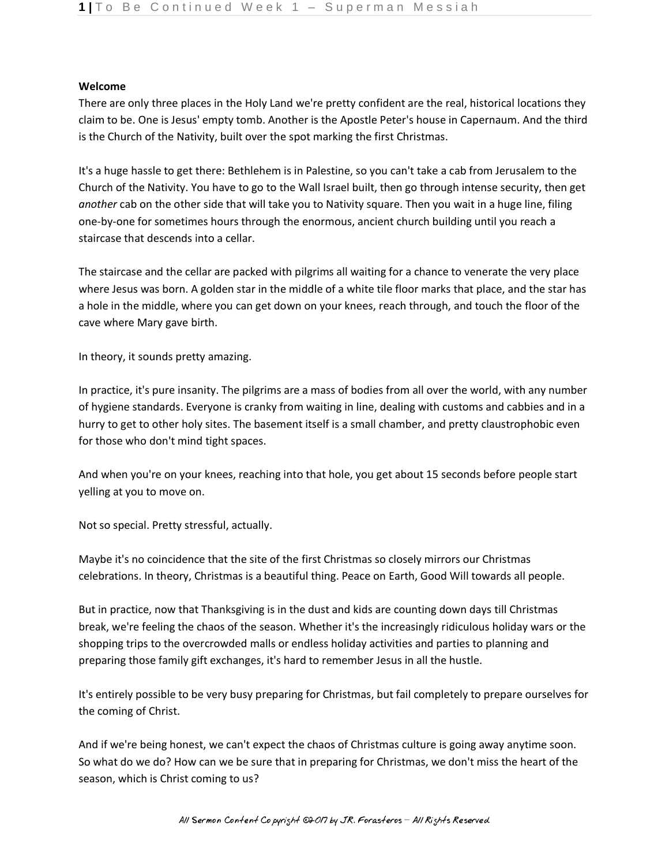## **Welcome**

There are only three places in the Holy Land we're pretty confident are the real, historical locations they claim to be. One is Jesus' empty tomb. Another is the Apostle Peter's house in Capernaum. And the third is the Church of the Nativity, built over the spot marking the first Christmas.

It's a huge hassle to get there: Bethlehem is in Palestine, so you can't take a cab from Jerusalem to the Church of the Nativity. You have to go to the Wall Israel built, then go through intense security, then get *another* cab on the other side that will take you to Nativity square. Then you wait in a huge line, filing one-by-one for sometimes hours through the enormous, ancient church building until you reach a staircase that descends into a cellar.

The staircase and the cellar are packed with pilgrims all waiting for a chance to venerate the very place where Jesus was born. A golden star in the middle of a white tile floor marks that place, and the star has a hole in the middle, where you can get down on your knees, reach through, and touch the floor of the cave where Mary gave birth.

In theory, it sounds pretty amazing.

In practice, it's pure insanity. The pilgrims are a mass of bodies from all over the world, with any number of hygiene standards. Everyone is cranky from waiting in line, dealing with customs and cabbies and in a hurry to get to other holy sites. The basement itself is a small chamber, and pretty claustrophobic even for those who don't mind tight spaces.

And when you're on your knees, reaching into that hole, you get about 15 seconds before people start yelling at you to move on.

Not so special. Pretty stressful, actually.

Maybe it's no coincidence that the site of the first Christmas so closely mirrors our Christmas celebrations. In theory, Christmas is a beautiful thing. Peace on Earth, Good Will towards all people.

But in practice, now that Thanksgiving is in the dust and kids are counting down days till Christmas break, we're feeling the chaos of the season. Whether it's the increasingly ridiculous holiday wars or the shopping trips to the overcrowded malls or endless holiday activities and parties to planning and preparing those family gift exchanges, it's hard to remember Jesus in all the hustle.

It's entirely possible to be very busy preparing for Christmas, but fail completely to prepare ourselves for the coming of Christ.

And if we're being honest, we can't expect the chaos of Christmas culture is going away anytime soon. So what do we do? How can we be sure that in preparing for Christmas, we don't miss the heart of the season, which is Christ coming to us?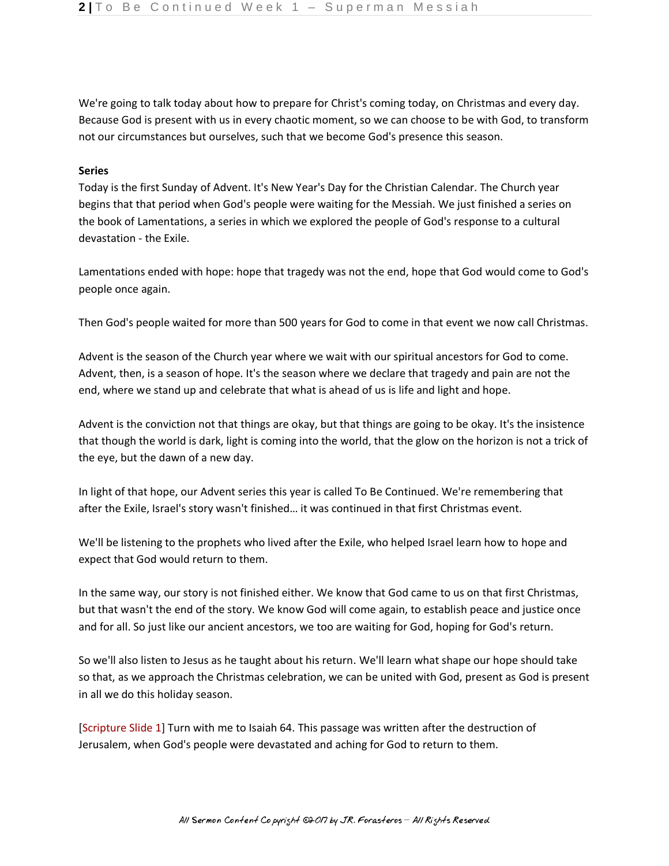We're going to talk today about how to prepare for Christ's coming today, on Christmas and every day. Because God is present with us in every chaotic moment, so we can choose to be with God, to transform not our circumstances but ourselves, such that we become God's presence this season.

## **Series**

Today is the first Sunday of Advent. It's New Year's Day for the Christian Calendar. The Church year begins that that period when God's people were waiting for the Messiah. We just finished a series on the book of Lamentations, a series in which we explored the people of God's response to a cultural devastation - the Exile.

Lamentations ended with hope: hope that tragedy was not the end, hope that God would come to God's people once again.

Then God's people waited for more than 500 years for God to come in that event we now call Christmas.

Advent is the season of the Church year where we wait with our spiritual ancestors for God to come. Advent, then, is a season of hope. It's the season where we declare that tragedy and pain are not the end, where we stand up and celebrate that what is ahead of us is life and light and hope.

Advent is the conviction not that things are okay, but that things are going to be okay. It's the insistence that though the world is dark, light is coming into the world, that the glow on the horizon is not a trick of the eye, but the dawn of a new day.

In light of that hope, our Advent series this year is called To Be Continued. We're remembering that after the Exile, Israel's story wasn't finished… it was continued in that first Christmas event.

We'll be listening to the prophets who lived after the Exile, who helped Israel learn how to hope and expect that God would return to them.

In the same way, our story is not finished either. We know that God came to us on that first Christmas, but that wasn't the end of the story. We know God will come again, to establish peace and justice once and for all. So just like our ancient ancestors, we too are waiting for God, hoping for God's return.

So we'll also listen to Jesus as he taught about his return. We'll learn what shape our hope should take so that, as we approach the Christmas celebration, we can be united with God, present as God is present in all we do this holiday season.

[Scripture Slide 1] Turn with me to Isaiah 64. This passage was written after the destruction of Jerusalem, when God's people were devastated and aching for God to return to them.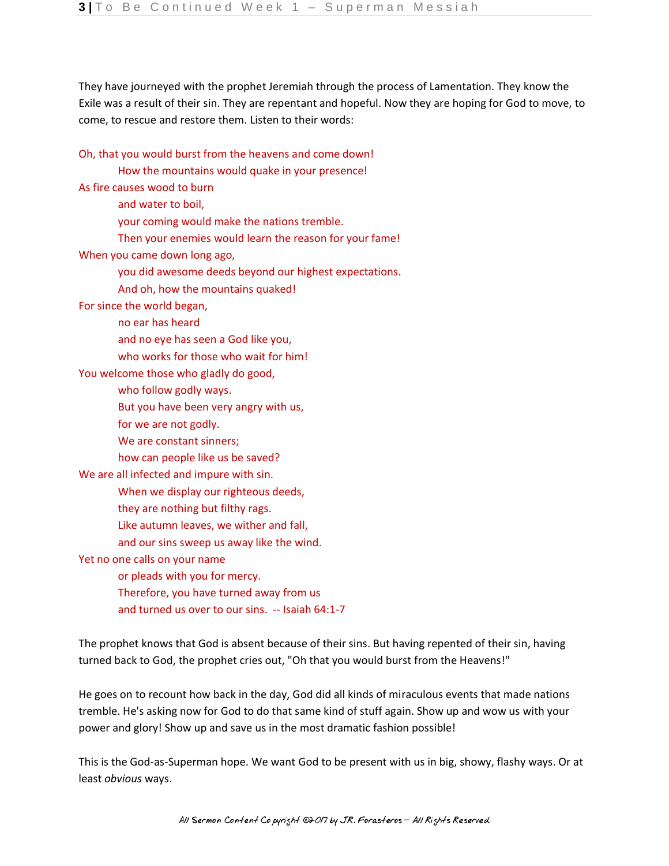They have journeyed with the prophet Jeremiah through the process of Lamentation. They know the Exile was a result of their sin. They are repentant and hopeful. Now they are hoping for God to move, to come, to rescue and restore them. Listen to their words:

Oh, that you would burst from the heavens and come down!

How the mountains would quake in your presence!

As fire causes wood to burn

and water to boil,

your coming would make the nations tremble.

Then your enemies would learn the reason for your fame!

When you came down long ago,

you did awesome deeds beyond our highest expectations.

And oh, how the mountains quaked!

For since the world began,

no ear has heard

and no eye has seen a God like you,

who works for those who wait for him!

You welcome those who gladly do good,

who follow godly ways.

But you have been very angry with us,

for we are not godly.

We are constant sinners;

how can people like us be saved?

We are all infected and impure with sin.

When we display our righteous deeds,

they are nothing but filthy rags.

Like autumn leaves, we wither and fall,

and our sins sweep us away like the wind.

Yet no one calls on your name

or pleads with you for mercy.

Therefore, you have turned away from us and turned us over to our sins. -- Isaiah 64:1-7

The prophet knows that God is absent because of their sins. But having repented of their sin, having turned back to God, the prophet cries out, "Oh that you would burst from the Heavens!"

He goes on to recount how back in the day, God did all kinds of miraculous events that made nations tremble. He's asking now for God to do that same kind of stuff again. Show up and wow us with your power and glory! Show up and save us in the most dramatic fashion possible!

This is the God-as-Superman hope. We want God to be present with us in big, showy, flashy ways. Or at least *obvious* ways.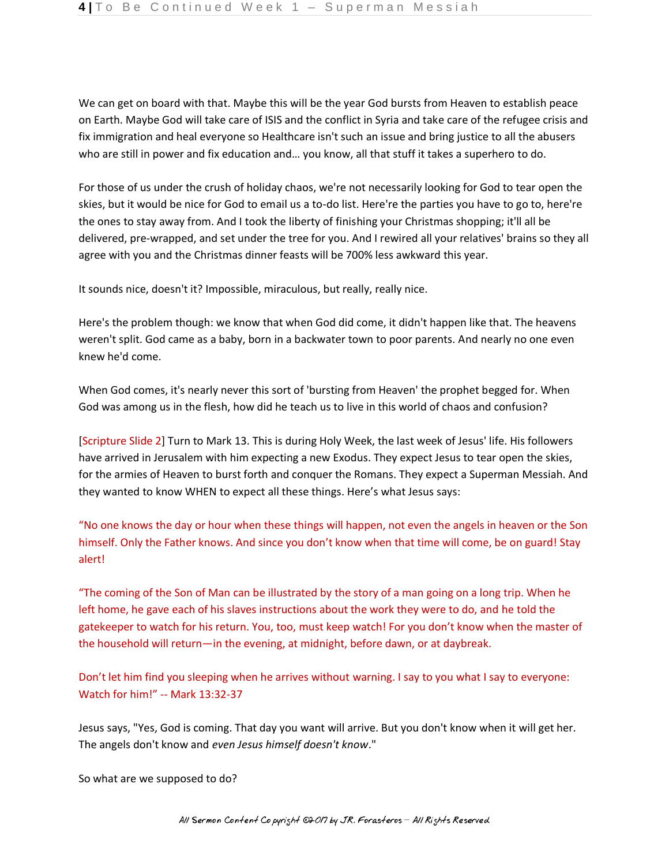We can get on board with that. Maybe this will be the year God bursts from Heaven to establish peace on Earth. Maybe God will take care of ISIS and the conflict in Syria and take care of the refugee crisis and fix immigration and heal everyone so Healthcare isn't such an issue and bring justice to all the abusers who are still in power and fix education and… you know, all that stuff it takes a superhero to do.

For those of us under the crush of holiday chaos, we're not necessarily looking for God to tear open the skies, but it would be nice for God to email us a to-do list. Here're the parties you have to go to, here're the ones to stay away from. And I took the liberty of finishing your Christmas shopping; it'll all be delivered, pre-wrapped, and set under the tree for you. And I rewired all your relatives' brains so they all agree with you and the Christmas dinner feasts will be 700% less awkward this year.

It sounds nice, doesn't it? Impossible, miraculous, but really, really nice.

Here's the problem though: we know that when God did come, it didn't happen like that. The heavens weren't split. God came as a baby, born in a backwater town to poor parents. And nearly no one even knew he'd come.

When God comes, it's nearly never this sort of 'bursting from Heaven' the prophet begged for. When God was among us in the flesh, how did he teach us to live in this world of chaos and confusion?

[Scripture Slide 2] Turn to Mark 13. This is during Holy Week, the last week of Jesus' life. His followers have arrived in Jerusalem with him expecting a new Exodus. They expect Jesus to tear open the skies, for the armies of Heaven to burst forth and conquer the Romans. They expect a Superman Messiah. And they wanted to know WHEN to expect all these things. Here's what Jesus says:

"No one knows the day or hour when these things will happen, not even the angels in heaven or the Son himself. Only the Father knows. And since you don't know when that time will come, be on guard! Stay alert!

"The coming of the Son of Man can be illustrated by the story of a man going on a long trip. When he left home, he gave each of his slaves instructions about the work they were to do, and he told the gatekeeper to watch for his return. You, too, must keep watch! For you don't know when the master of the household will return—in the evening, at midnight, before dawn, or at daybreak.

Don't let him find you sleeping when he arrives without warning. I say to you what I say to everyone: Watch for him!" -- Mark 13:32-37

Jesus says, "Yes, God is coming. That day you want will arrive. But you don't know when it will get her. The angels don't know and *even Jesus himself doesn't know*."

So what are we supposed to do?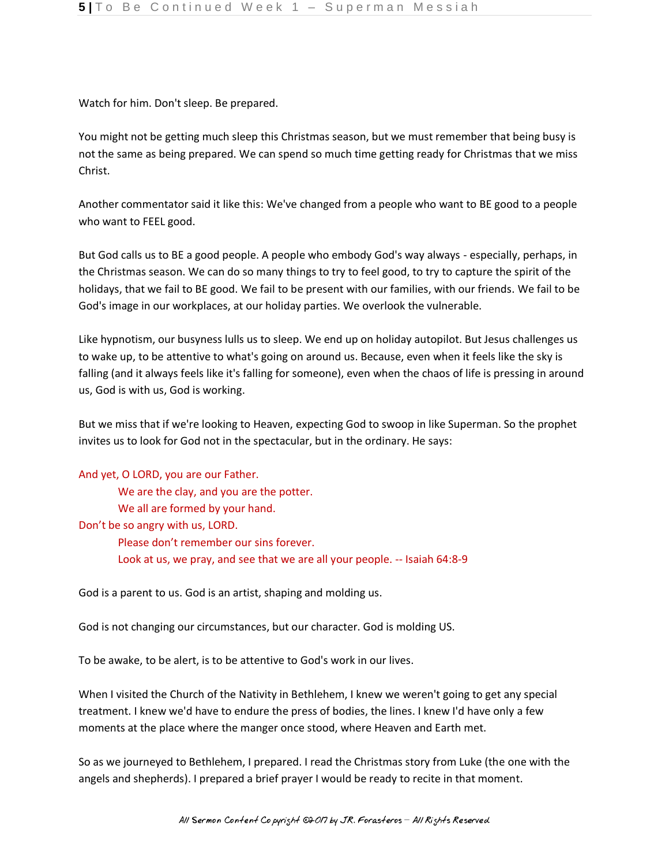Watch for him. Don't sleep. Be prepared.

You might not be getting much sleep this Christmas season, but we must remember that being busy is not the same as being prepared. We can spend so much time getting ready for Christmas that we miss Christ.

Another commentator said it like this: We've changed from a people who want to BE good to a people who want to FEEL good.

But God calls us to BE a good people. A people who embody God's way always - especially, perhaps, in the Christmas season. We can do so many things to try to feel good, to try to capture the spirit of the holidays, that we fail to BE good. We fail to be present with our families, with our friends. We fail to be God's image in our workplaces, at our holiday parties. We overlook the vulnerable.

Like hypnotism, our busyness lulls us to sleep. We end up on holiday autopilot. But Jesus challenges us to wake up, to be attentive to what's going on around us. Because, even when it feels like the sky is falling (and it always feels like it's falling for someone), even when the chaos of life is pressing in around us, God is with us, God is working.

But we miss that if we're looking to Heaven, expecting God to swoop in like Superman. So the prophet invites us to look for God not in the spectacular, but in the ordinary. He says:

And yet, O LORD, you are our Father. We are the clay, and you are the potter. We all are formed by your hand. Don't be so angry with us, LORD. Please don't remember our sins forever. Look at us, we pray, and see that we are all your people. -- Isaiah 64:8-9

God is a parent to us. God is an artist, shaping and molding us.

God is not changing our circumstances, but our character. God is molding US.

To be awake, to be alert, is to be attentive to God's work in our lives.

When I visited the Church of the Nativity in Bethlehem, I knew we weren't going to get any special treatment. I knew we'd have to endure the press of bodies, the lines. I knew I'd have only a few moments at the place where the manger once stood, where Heaven and Earth met.

So as we journeyed to Bethlehem, I prepared. I read the Christmas story from Luke (the one with the angels and shepherds). I prepared a brief prayer I would be ready to recite in that moment.